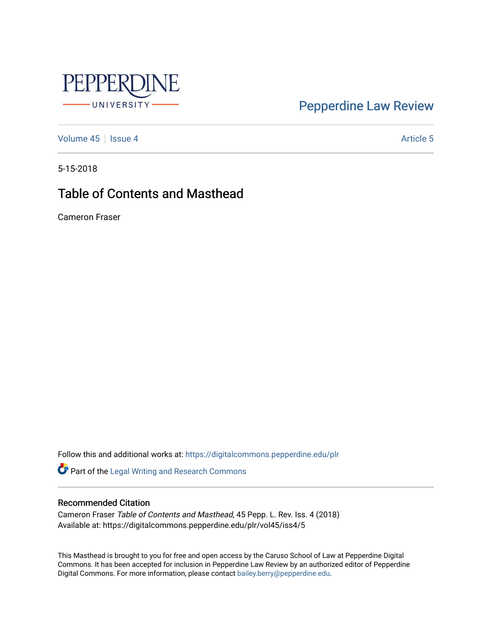

### [Pepperdine Law Review](https://digitalcommons.pepperdine.edu/plr)

[Volume 45](https://digitalcommons.pepperdine.edu/plr/vol45) | [Issue 4](https://digitalcommons.pepperdine.edu/plr/vol45/iss4) Article 5

5-15-2018

### Table of Contents and Masthead

Cameron Fraser

Follow this and additional works at: [https://digitalcommons.pepperdine.edu/plr](https://digitalcommons.pepperdine.edu/plr?utm_source=digitalcommons.pepperdine.edu%2Fplr%2Fvol45%2Fiss4%2F5&utm_medium=PDF&utm_campaign=PDFCoverPages)

Part of the [Legal Writing and Research Commons](http://network.bepress.com/hgg/discipline/614?utm_source=digitalcommons.pepperdine.edu%2Fplr%2Fvol45%2Fiss4%2F5&utm_medium=PDF&utm_campaign=PDFCoverPages) 

#### Recommended Citation

Cameron Fraser Table of Contents and Masthead, 45 Pepp. L. Rev. Iss. 4 (2018) Available at: https://digitalcommons.pepperdine.edu/plr/vol45/iss4/5

This Masthead is brought to you for free and open access by the Caruso School of Law at Pepperdine Digital Commons. It has been accepted for inclusion in Pepperdine Law Review by an authorized editor of Pepperdine Digital Commons. For more information, please contact [bailey.berry@pepperdine.edu.](mailto:bailey.berry@pepperdine.edu)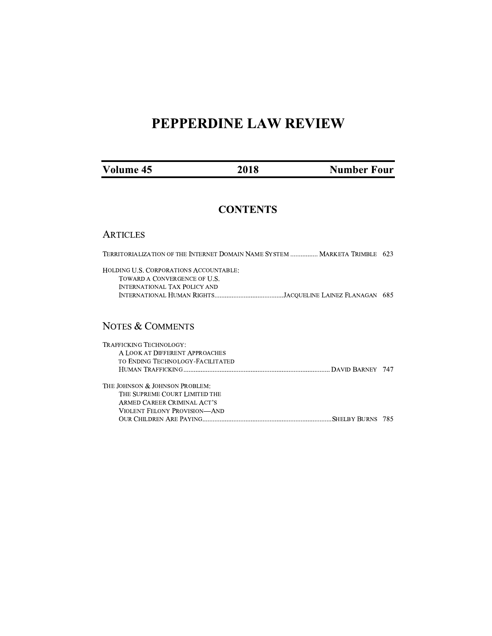# PEPPERDINE LAW REVIEW

| Volume 45 | 2018 | <b>Number Four</b> |
|-----------|------|--------------------|
|-----------|------|--------------------|

### **CONTENTS**

#### **ARTICLES**

| TERRITORIALIZATION OF THE INTERNET DOMAIN NAME SYSTEM  MARKETA TRIMBLE 623                                    |  |  |
|---------------------------------------------------------------------------------------------------------------|--|--|
| HOLDING U.S. CORPORATIONS ACCOUNTABLE:<br>TOWARD A CONVERGENCE OF U.S.<br><b>INTERNATIONAL TAX POLICY AND</b> |  |  |
| <b>NOTES &amp; COMMENTS</b>                                                                                   |  |  |
| TRAFFICKING TECHNOLOGY:<br>A LOOK AT DIFFERENT APPROACHES<br>TO ENDING TECHNOLOGY-FACILITATED                 |  |  |
| THE JOHNSON & JOHNSON PROBLEM:<br>THE CHIDDEME COUDT I IMITED THE                                             |  |  |

THE SUPREME COURT LIMITED THE ARMED CAREER CRIMINAL ACT'S VIOLENT FELONY PROVISION-AND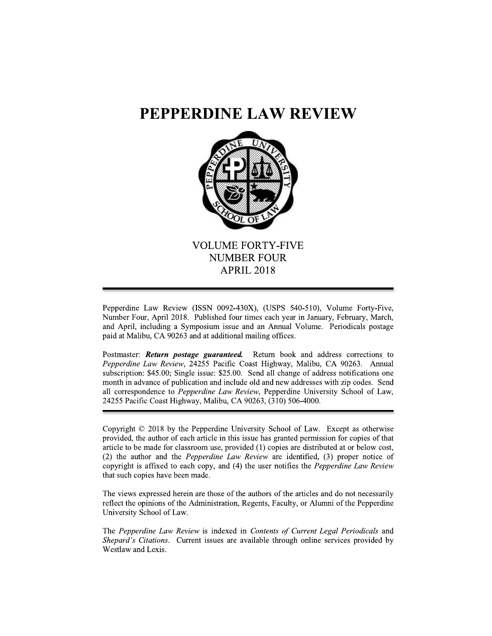### PEPPERDINE LAW REVIEW



Pepperdine Law Review (ISSN 0092-430X), (USPS 540-510), Volume Forty-Five, Number Four, April 2018. Published four times each year in January, February, March, and April, including a Symposium issue and an Annual Volume. Periodicals postage paid at Malibu, CA 90263 and at additional mailing offices.

Postmaster: Return postage guaranteed. Return book and address corrections to Pepperdine Law Review, 24255 Pacific Coast Highway, Malibu, CA 90263. Annual subscription: \$45.00; Single issue: \$25.00. Send all change of address notifications one month in advance of publication and include old and new addresses with zip codes. Send all correspondence to Pepperdine Law Review, Pepperdine University School of Law, 24255 Pacific Coast Highway, Malibu, CA 90263, (310) 506-4000.

Copyright © 2018 by the Pepperdine University School of Law. Except as otherwise provided, the author of each article in this issue has granted permission for copies of that article to be made for classroom use, provided (1) copies are distributed at or below cost, (2) the author and the *Pepperdine Law Review* are identified, (3) proper notice of copyright is affixed to each copy, and (4) the user notifies the *Pepperdine Law Review* that such copies have been made.

The views expressed herein are those of the authors of the articles and do not necessarily reflect the opinions of the Administration, Regents, Faculty, or Alumni of the Pepperdine University School of Law.

The Pepperdine Law Review is indexed in Contents of Current Legal Periodicals and Shepard's Citations. Current issues are available through online services provided by Westlaw and Lexis.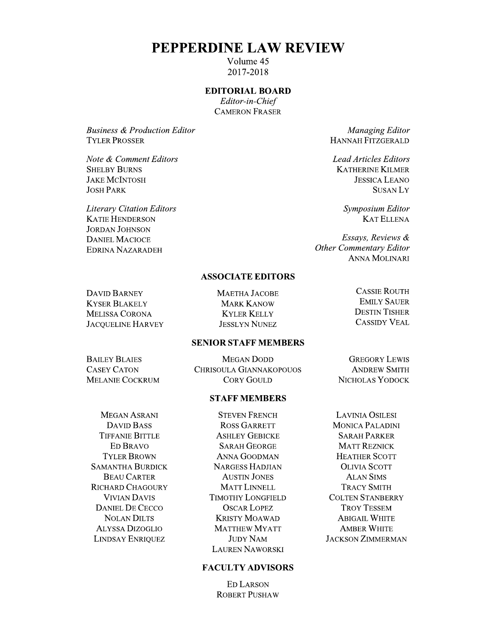### PEPPERDINE LAW REVIEW

Volume 45 2017-2018

#### **EDITORIAL BOARD**

Editor-in-Chief **CAMERON FRASER** 

**Business & Production Editor TYLER PROSSER** 

Note & Comment Editors **SHELBY BURNS JAKE MCINTOSH JOSH PARK** 

**Literary Citation Editors KATIE HENDERSON JORDAN JOHNSON DANIEL MACIOCE EDRINA NAZARADEH** 

Managing Editor **HANNAH FITZGERALD** 

**Lead Articles Editors KATHERINE KILMER JESSICA LEANO SUSANLY** 

> Symposium Editor **KAT ELLENA**

Essays, Reviews & **Other Commentary Editor ANNA MOLINARI** 

#### **ASSOCIATE EDITORS**

**DAVID BARNEY KYSER BLAKELY MELISSA CORONA JACOUELINE HARVEY**  MAETHA JACOBE **MARK KANOW KYLER KELLY JESSLYN NUNEZ** 

#### **CASSIE ROUTH EMILY SAUER DESTIN TISHER CASSIDY VEAL**

#### **SENIOR STAFF MEMBERS**

**BAILEY BLAIES CASEY CATON MELANIE COCKRUM** 

**MEGAN DODD** CHRISOULA GIANNAKOPOUOS **CORY GOULD** 

#### **STAFF MEMBERS**

MEGAN ASRANI **DAVID BASS TIFFANIE BITTLE ED BRAVO TYLER BROWN SAMANTHA BURDICK BEAU CARTER RICHARD CHAGOURY VIVIAN DAVIS DANIEL DE CECCO NOLAN DILTS ALYSSA DIZOGLIO LINDSAY ENRIQUEZ** 

**STEVEN FRENCH ROSS GARRETT ASHLEY GEBICKE SARAH GEORGE ANNA GOODMAN NARGESS HADJIAN AUSTIN JONES MATT LINNELL TIMOTHY LONGFIELD OSCAR LOPEZ KRISTY MOAWAD MATTHEW MYATT JUDY NAM LAUREN NAWORSKI** 

#### **FACULTY ADVISORS**

**ED LARSON ROBERT PUSHAW** 

**GREGORY LEWIS ANDREW SMITH** NICHOLAS YODOCK

**LAVINIA OSILESI MONICA PALADINI SARAH PARKER MATT REZNICK HEATHER SCOTT OLIVIA SCOTT ALAN SIMS TRACY SMITH COLTEN STANBERRY TROY TESSEM ABIGAIL WHITE AMBER WHITE JACKSON ZIMMERMAN**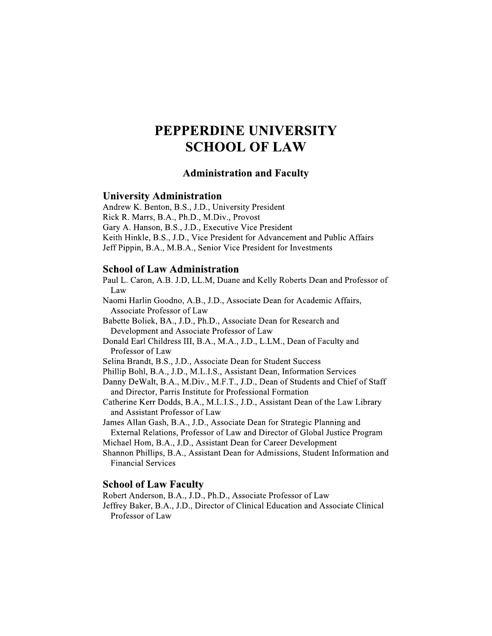## PEPPERDINE UNIVERSITY **SCHOOL OF LAW**

#### **Administration and Faculty**

#### **University Administration**

Andrew K. Benton, B.S., J.D., University President Rick R. Marrs, B.A., Ph.D., M.Div., Provost Gary A. Hanson, B.S., J.D., Executive Vice President Keith Hinkle, B.S., J.D., Vice President for Advancement and Public Affairs Jeff Pippin, B.A., M.B.A., Senior Vice President for Investments

#### **School of Law Administration**

Paul L. Caron, A.B. J.D, LL.M, Duane and Kelly Roberts Dean and Professor of Law Naomi Harlin Goodno, A.B., J.D., Associate Dean for Academic Affairs,

Associate Professor of Law

Babette Boliek, BA., J.D., Ph.D., Associate Dean for Research and Development and Associate Professor of Law

Donald Earl Childress III, B.A., M.A., J.D., L.LM., Dean of Faculty and Professor of Law

Selina Brandt, B.S., J.D., Associate Dean for Student Success

Phillip Bohl, B.A., J.D., M.L.I.S., Assistant Dean, Information Services

Danny DeWalt, B.A., M.Div., M.F.T., J.D., Dean of Students and Chief of Staff and Director, Parris Institute for Professional Formation

Catherine Kerr Dodds, B.A., M.L.I.S., J.D., Assistant Dean of the Law Library and Assistant Professor of Law

James Allan Gash, B.A., J.D., Associate Dean for Strategic Planning and External Relations, Professor of Law and Director of Global Justice Program

Michael Hom, B.A., J.D., Assistant Dean for Career Development

Shannon Phillips, B.A., Assistant Dean for Admissions, Student Information and **Financial Services** 

#### **School of Law Faculty**

Robert Anderson, B.A., J.D., Ph.D., Associate Professor of Law

Jeffrey Baker, B.A., J.D., Director of Clinical Education and Associate Clinical Professor of Law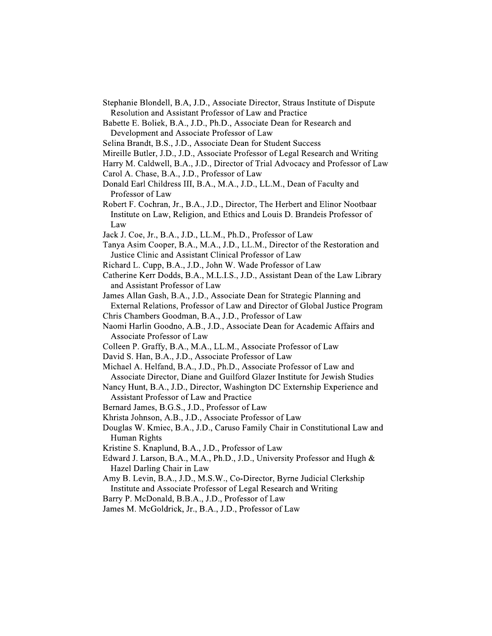- Stephanie Blondell, B.A. J.D., Associate Director, Straus Institute of Dispute Resolution and Assistant Professor of Law and Practice
- Babette E. Boliek, B.A., J.D., Ph.D., Associate Dean for Research and Development and Associate Professor of Law
- Selina Brandt, B.S., J.D., Associate Dean for Student Success
- Mireille Butler, J.D., J.D., Associate Professor of Legal Research and Writing
- Harry M. Caldwell, B.A., J.D., Director of Trial Advocacy and Professor of Law
- Carol A. Chase, B.A., J.D., Professor of Law
- Donald Earl Childress III, B.A., M.A., J.D., LL.M., Dean of Faculty and Professor of Law
- Robert F. Cochran, Jr., B.A., J.D., Director, The Herbert and Elinor Nootbaar Institute on Law, Religion, and Ethics and Louis D. Brandeis Professor of Law
- Jack J. Coe, Jr., B.A., J.D., LL.M., Ph.D., Professor of Law
- Tanya Asim Cooper, B.A., M.A., J.D., LL.M., Director of the Restoration and Justice Clinic and Assistant Clinical Professor of Law
- Richard L. Cupp, B.A., J.D., John W. Wade Professor of Law
- Catherine Kerr Dodds, B.A., M.L.I.S., J.D., Assistant Dean of the Law Library and Assistant Professor of Law
- James Allan Gash, B.A., J.D., Associate Dean for Strategic Planning and External Relations, Professor of Law and Director of Global Justice Program
- Chris Chambers Goodman, B.A., J.D., Professor of Law
- Naomi Harlin Goodno, A.B., J.D., Associate Dean for Academic Affairs and Associate Professor of Law
- Colleen P. Graffy, B.A., M.A., LL.M., Associate Professor of Law
- David S. Han, B.A., J.D., Associate Professor of Law
- Michael A. Helfand, B.A., J.D., Ph.D., Associate Professor of Law and Associate Director, Diane and Guilford Glazer Institute for Jewish Studies
- Nancy Hunt, B.A., J.D., Director, Washington DC Externship Experience and Assistant Professor of Law and Practice
- Bernard James, B.G.S., J.D., Professor of Law
- Khrista Johnson, A.B., J.D., Associate Professor of Law
- Douglas W. Kmiec, B.A., J.D., Caruso Family Chair in Constitutional Law and Human Rights
- Kristine S. Knaplund, B.A., J.D., Professor of Law
- Edward J. Larson, B.A., M.A., Ph.D., J.D., University Professor and Hugh & Hazel Darling Chair in Law
- Amy B. Levin, B.A., J.D., M.S.W., Co-Director, Byrne Judicial Clerkship Institute and Associate Professor of Legal Research and Writing
- Barry P. McDonald, B.B.A., J.D., Professor of Law
- James M. McGoldrick, Jr., B.A., J.D., Professor of Law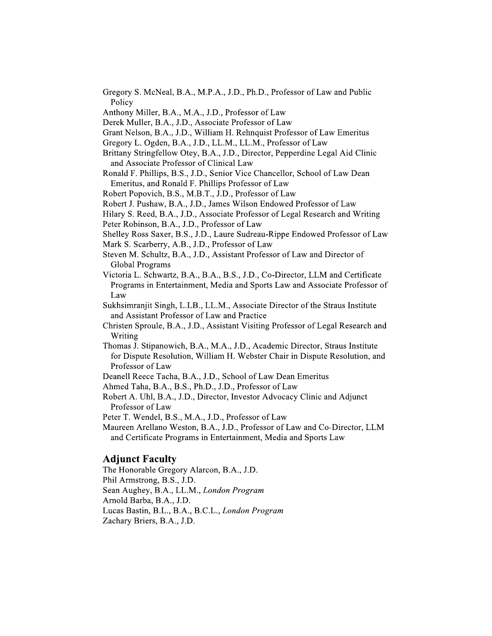- Gregory S. McNeal, B.A., M.P.A., J.D., Ph.D., Professor of Law and Public Policy
- Anthony Miller, B.A., M.A., J.D., Professor of Law
- Derek Muller, B.A., J.D., Associate Professor of Law
- Grant Nelson, B.A., J.D., William H. Rehnquist Professor of Law Emeritus
- Gregory L. Ogden, B.A., J.D., LL.M., LL.M., Professor of Law
- Brittany Stringfellow Otey, B.A., J.D., Director, Pepperdine Legal Aid Clinic and Associate Professor of Clinical Law
- Ronald F. Phillips, B.S., J.D., Senior Vice Chancellor, School of Law Dean Emeritus, and Ronald F. Phillips Professor of Law
- Robert Popovich, B.S., M.B.T., J.D., Professor of Law
- Robert J. Pushaw, B.A., J.D., James Wilson Endowed Professor of Law
- Hilary S. Reed, B.A., J.D., Associate Professor of Legal Research and Writing
- Peter Robinson, B.A., J.D., Professor of Law
- Shelley Ross Saxer, B.S., J.D., Laure Sudreau-Rippe Endowed Professor of Law Mark S. Scarberry, A.B., J.D., Professor of Law
- Steven M. Schultz, B.A., J.D., Assistant Professor of Law and Director of
- Global Programs
- Victoria L. Schwartz, B.A., B.A., B.S., J.D., Co-Director, LLM and Certificate Programs in Entertainment, Media and Sports Law and Associate Professor of Law
- Sukhsimranjit Singh, L.LB., LL.M., Associate Director of the Straus Institute and Assistant Professor of Law and Practice
- Christen Sproule, B.A., J.D., Assistant Visiting Professor of Legal Research and Writing
- Thomas J. Stipanowich, B.A., M.A., J.D., Academic Director, Straus Institute for Dispute Resolution, William H. Webster Chair in Dispute Resolution, and Professor of Law
- Deanell Reece Tacha, B.A., J.D., School of Law Dean Emeritus
- Ahmed Taha, B.A., B.S., Ph.D., J.D., Professor of Law
- Robert A. Uhl, B.A., J.D., Director, Investor Advocacy Clinic and Adjunct Professor of Law
- Peter T. Wendel, B.S., M.A., J.D., Professor of Law
- Maureen Arellano Weston, B.A., J.D., Professor of Law and Co-Director, LLM and Certificate Programs in Entertainment, Media and Sports Law

#### **Adjunct Faculty**

The Honorable Gregory Alarcon, B.A., J.D. Phil Armstrong, B.S., J.D. Sean Aughey, B.A., LL.M., London Program Arnold Barba, B.A., J.D. Lucas Bastin, B.L., B.A., B.C.L., London Program Zachary Briers, B.A., J.D.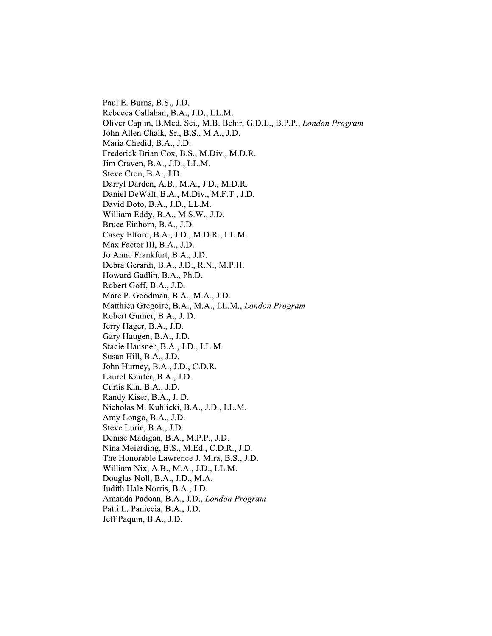Paul E. Burns, B.S., J.D. Rebecca Callahan, B.A., J.D., LL.M. Oliver Caplin, B.Med. Sci., M.B. Bchir, G.D.L., B.P.P., London Program John Allen Chalk, Sr., B.S., M.A., J.D. Maria Chedid, B.A., J.D. Frederick Brian Cox, B.S., M.Div., M.D.R. Jim Craven, B.A., J.D., LL.M. Steve Cron, B.A., J.D. Darryl Darden, A.B., M.A., J.D., M.D.R. Daniel DeWalt, B.A., M.Div., M.F.T., J.D. David Doto, B.A., J.D., LL.M. William Eddy, B.A., M.S.W., J.D. Bruce Einhorn, B.A., J.D. Casey Elford, B.A., J.D., M.D.R., LL.M. Max Factor III, B.A., J.D. Jo Anne Frankfurt, B.A., J.D. Debra Gerardi, B.A., J.D., R.N., M.P.H. Howard Gadlin, B.A., Ph.D. Robert Goff, B.A., J.D. Marc P. Goodman, B.A., M.A., J.D. Matthieu Gregoire, B.A., M.A., LL.M., London Program Robert Gumer, B.A., J.D. Jerry Hager, B.A., J.D. Gary Haugen, B.A., J.D. Stacie Hausner, B.A., J.D., LL.M. Susan Hill, B.A., J.D. John Hurney, B.A., J.D., C.D.R. Laurel Kaufer, B.A., J.D. Curtis Kin, B.A., J.D. Randy Kiser, B.A., J.D. Nicholas M. Kublicki, B.A., J.D., LL.M. Amy Longo, B.A., J.D. Steve Lurie, B.A., J.D. Denise Madigan, B.A., M.P.P., J.D. Nina Meierding, B.S., M.Ed., C.D.R., J.D. The Honorable Lawrence J. Mira, B.S., J.D. William Nix, A.B., M.A., J.D., LL.M. Douglas Noll, B.A., J.D., M.A. Judith Hale Norris, B.A., J.D. Amanda Padoan, B.A., J.D., London Program Patti L. Paniccia, B.A., J.D. Jeff Paquin, B.A., J.D.